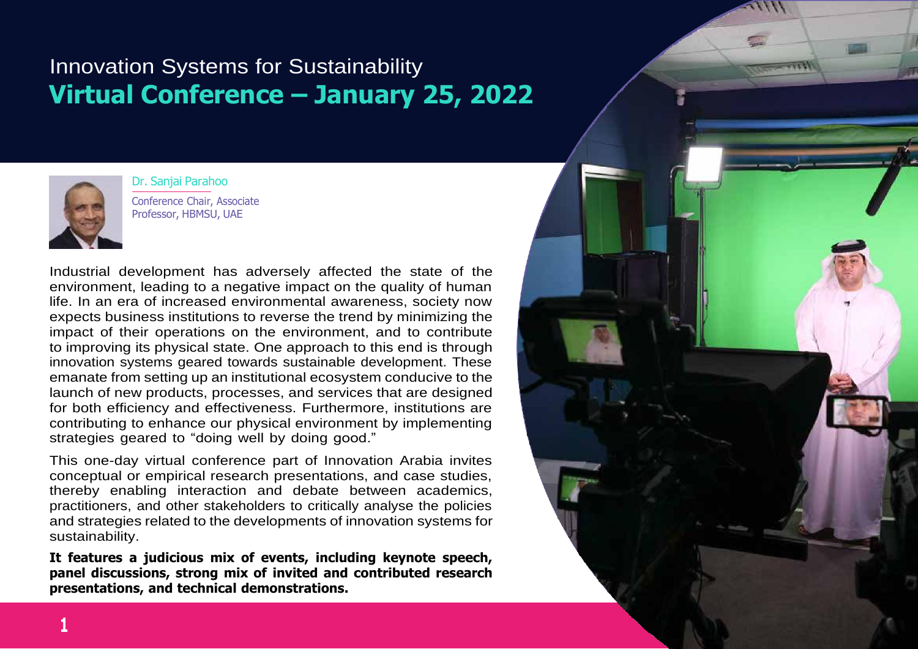### Innovation Systems for Sustainability **Virtual Conference – January 25, 2022**



Dr. Sanjai Parahoo Conference Chair, Associate Professor, HBMSU, UAE

Industrial development has adversely affected the state of the environment, leading to a negative impact on the quality of human life. In an era of increased environmental awareness, society now expects business institutions to reverse the trend by minimizing the impact of their operations on the environment, and to contribute to improving its physical state. One approach to this end is through innovation systems geared towards sustainable development. These emanate from setting up an institutional ecosystem conducive to the launch of new products, processes, and services that are designed for both efficiency and effectiveness. Furthermore, institutions are contributing to enhance our physical environment by implementing strategies geared to "doing well by doing good."

This one-day virtual conference part of Innovation Arabia invites conceptual or empirical research presentations, and case studies, thereby enabling interaction and debate between academics, practitioners, and other stakeholders to critically analyse the policies and strategies related to the developments of innovation systems for sustainability.

**It features a judicious mix of events, including keynote speech, panel discussions, strong mix of invited and contributed research presentations, and technical demonstrations.**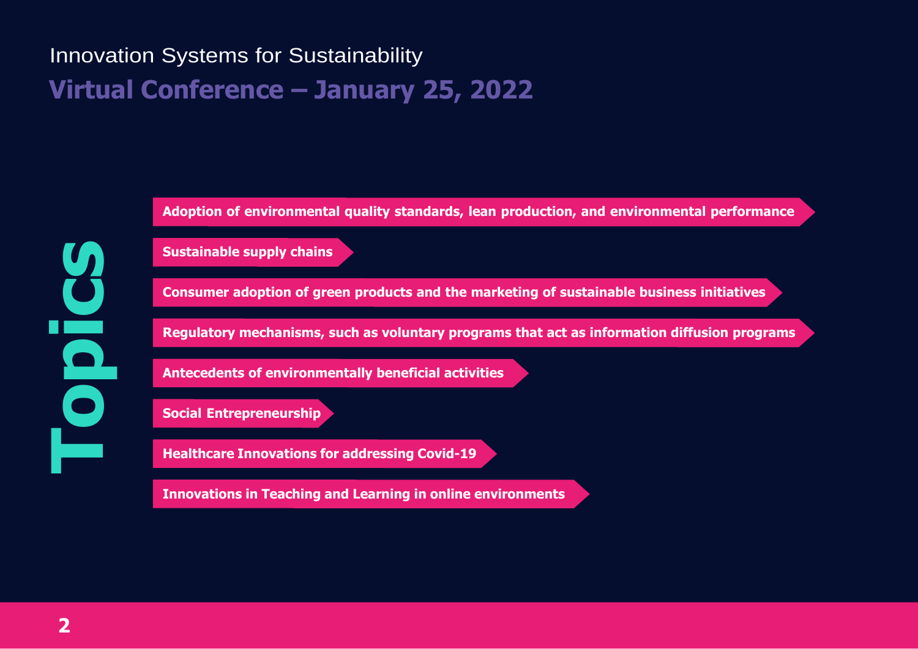# Innovation Systems for Sustainability **Virtual Conference – January 25, 2022**

**Adoption of environmental quality standards, lean production, and environmental performance**

**Sustainable supply chains**

**Consumer adoption of green products and the marketing of sustainable business initiatives**

**Regulatory mechanisms, such as voluntary programs that act as information diffusion programs**

**Antecedents of environmentally beneficial activities**

**Social Entrepreneurship**

**Healthcare Innovations for addressing Covid-19**

**Innovations in Teaching and Learning in online environments**

**Topics**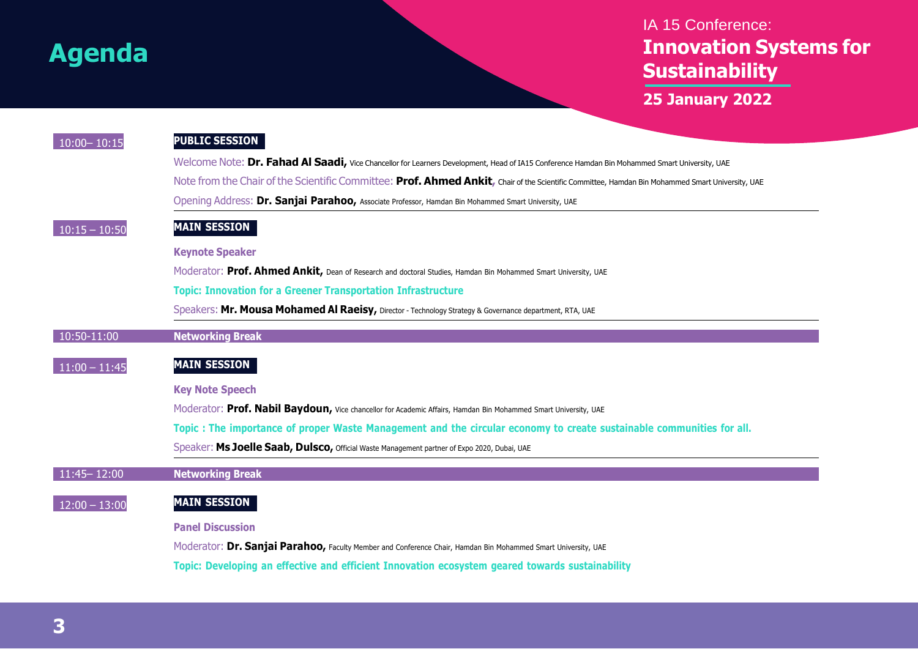### IA 15 Conference: **Innovation Systems for Sustainability**

**25 January 2022**

| $10:00 - 10:15$ | <b>PUBLIC SESSION</b>                                                                                                                            |  |  |  |
|-----------------|--------------------------------------------------------------------------------------------------------------------------------------------------|--|--|--|
|                 | Welcome Note: Dr. Fahad Al Saadi, Vice Chancellor for Learners Development, Head of IA15 Conference Hamdan Bin Mohammed Smart University, UAE    |  |  |  |
|                 | Note from the Chair of the Scientific Committee: Prof. Ahmed Ankit, Chair of the Scientific Committee, Hamdan Bin Mohammed Smart University, UAE |  |  |  |
|                 | Opening Address: Dr. Sanjai Parahoo, Associate Professor, Hamdan Bin Mohammed Smart University, UAE                                              |  |  |  |
| $10:15 - 10:50$ | <b>MAIN SESSION</b>                                                                                                                              |  |  |  |
|                 | <b>Keynote Speaker</b>                                                                                                                           |  |  |  |
|                 | Moderator: Prof. Ahmed Ankit, Dean of Research and doctoral Studies, Hamdan Bin Mohammed Smart University, UAE                                   |  |  |  |
|                 | <b>Topic: Innovation for a Greener Transportation Infrastructure</b>                                                                             |  |  |  |
|                 | Speakers: Mr. Mousa Mohamed Al Raeisy, Director - Technology Strategy & Governance department, RTA, UAE                                          |  |  |  |
| 10:50-11:00     | <b>Networking Break</b>                                                                                                                          |  |  |  |
| $11:00 - 11:45$ | <b>MAIN SESSION</b>                                                                                                                              |  |  |  |
|                 | <b>Key Note Speech</b>                                                                                                                           |  |  |  |
|                 | Moderator: Prof. Nabil Baydoun, Vice chancellor for Academic Affairs, Hamdan Bin Mohammed Smart University, UAE                                  |  |  |  |
|                 | Topic : The importance of proper Waste Management and the circular economy to create sustainable communities for all.                            |  |  |  |
|                 | Speaker: Ms Joelle Saab, Dulsco, Official Waste Management partner of Expo 2020, Dubai, UAE                                                      |  |  |  |
| $11:45 - 12:00$ | <b>Networking Break</b>                                                                                                                          |  |  |  |
| $12:00 - 13:00$ | <b>MAIN SESSION</b>                                                                                                                              |  |  |  |
|                 | <b>Panel Discussion</b>                                                                                                                          |  |  |  |
|                 | Moderator: Dr. Sanjai Parahoo, Faculty Member and Conference Chair, Hamdan Bin Mohammed Smart University, UAE                                    |  |  |  |
|                 | Topic: Developing an effective and efficient Innovation ecosystem geared towards sustainability                                                  |  |  |  |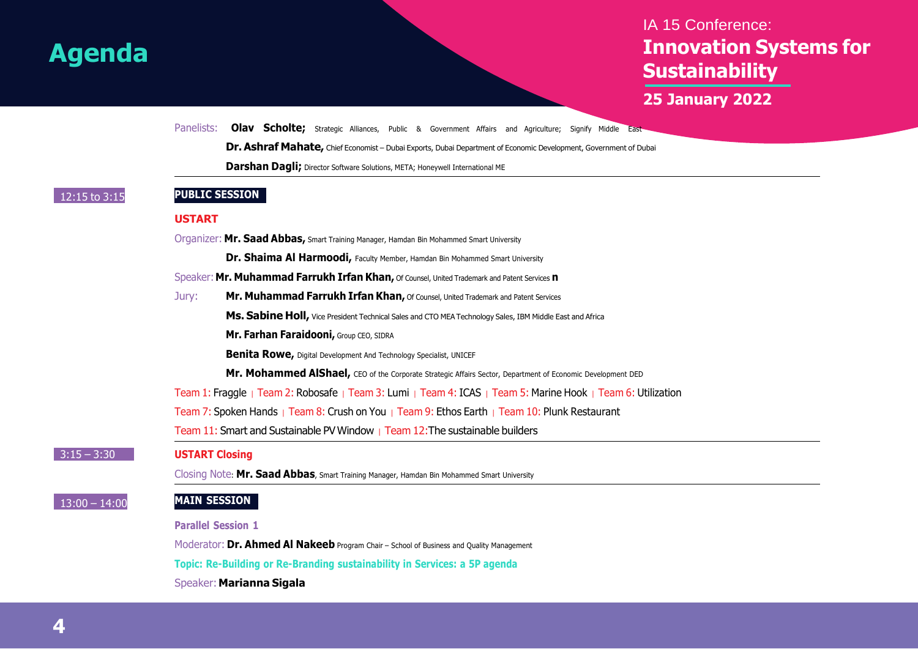### IA 15 Conference: **Innovation Systems for Sustainability**

**25 January 2022**

Panelists: **Olav Scholte;** Strategic Alliances, Public & Government Affairs and Agriculture; Signify Middle East-

**Dr.Ashraf Mahate,** Chief Economist – Dubai Exports, Dubai Department of Economic Development, Government of Dubai

**Darshan Dagli;** Director Software Solutions, META; Honeywell International ME

 $3:15 - 3:30$ 

 $\frac{13:00 - 14:0}{h}$ 

#### 12:15 to 3:15 **PUBLIC SESSION**

#### **USTART**

|                |                                                                                                              | Organizer: Mr. Saad Abbas, Smart Training Manager, Hamdan Bin Mohammed Smart University                     |  |  |
|----------------|--------------------------------------------------------------------------------------------------------------|-------------------------------------------------------------------------------------------------------------|--|--|
|                |                                                                                                              | Dr. Shaima Al Harmoodi, Faculty Member, Hamdan Bin Mohammed Smart University                                |  |  |
|                | Speaker: Mr. Muhammad Farrukh Irfan Khan, Of Counsel, United Trademark and Patent Services n                 |                                                                                                             |  |  |
|                | Jury:                                                                                                        | Mr. Muhammad Farrukh Irfan Khan, Of Counsel, United Trademark and Patent Services                           |  |  |
|                |                                                                                                              | Ms. Sabine Holl, Vice President Technical Sales and CTO MEA Technology Sales, IBM Middle East and Africa    |  |  |
|                |                                                                                                              | Mr. Farhan Faraidooni, Group CEO, SIDRA                                                                     |  |  |
|                |                                                                                                              | <b>Benita Rowe, Digital Development And Technology Specialist, UNICEF</b>                                   |  |  |
|                |                                                                                                              | Mr. Mohammed AlShael, CEO of the Corporate Strategic Affairs Sector, Department of Economic Development DED |  |  |
|                | Team 1: Fraggle   Team 2: Robosafe   Team 3: Lumi   Team 4: ICAS   Team 5: Marine Hook   Team 6: Utilization |                                                                                                             |  |  |
|                |                                                                                                              | Team 7: Spoken Hands   Team 8: Crush on You   Team 9: Ethos Earth   Team 10: Plunk Restaurant               |  |  |
|                |                                                                                                              | Team 11: Smart and Sustainable PV Window   Team 12: The sustainable builders                                |  |  |
|                | <b>USTART Closing</b>                                                                                        |                                                                                                             |  |  |
|                |                                                                                                              | Closing Note: Mr. Saad Abbas, Smart Training Manager, Hamdan Bin Mohammed Smart University                  |  |  |
| $\overline{0}$ | <b>MAIN SESSION</b>                                                                                          |                                                                                                             |  |  |
|                |                                                                                                              | <b>Parallel Session 1</b>                                                                                   |  |  |
|                |                                                                                                              | Moderator: Dr. Ahmed Al Nakeeb Program Chair - School of Business and Quality Management                    |  |  |
|                |                                                                                                              | Topic: Re-Building or Re-Branding sustainability in Services: a 5P agenda                                   |  |  |
|                |                                                                                                              | Speaker: Marianna Sigala                                                                                    |  |  |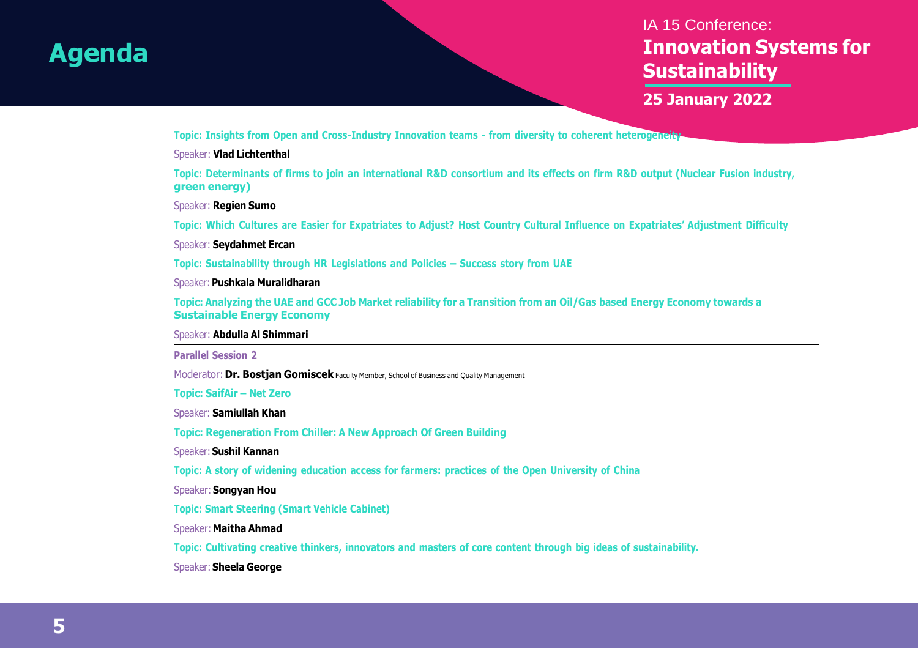### IA 15 Conference: **Innovation Systems for Sustainability**

**25 January 2022**

**Topic: Insights from Open and Cross-Industry Innovation teams - from diversity to coherent heterogeneity**

#### Speaker: **Vlad Lichtenthal**

Topic: Determinants of firms to join an international R&D consortium and its effects on firm R&D output (Nuclear Fusion industry, **green energy)**

Speaker: **Regien Sumo**

Topic: Which Cultures are Easier for Expatriates to Adjust? Host Country Cultural Influence on Expatriates' Adjustment Difficulty

Speaker: **Seydahmet Ercan**

**Topic: Sustainability through HR Legislations and Policies – Success story from UAE**

Speaker:**Pushkala Muralidharan**

Topic: Analyzing the UAE and GCC Job Market reliability for a Transition from an Oil/Gas based Energy Economy towards a **Sustainable Energy Economy**

Speaker: **Abdulla Al Shimmari**

**Parallel Session 2**

Moderator:**Dr. Bostjan Gomiscek** Faculty Member, School of Business and Quality Management

**Topic: SaifAir – Net Zero**

Speaker: **Samiullah Khan**

**Topic: Regeneration From Chiller: A New Approach Of Green Building**

Speaker:**Sushil Kannan**

**Topic: A story of widening education access for farmers: practices of the Open University of China**

Speaker: **Songyan Hou**

**Topic: Smart Steering (Smart Vehicle Cabinet)**

Speaker: **Maitha Ahmad**

**Topic: Cultivating creative thinkers, innovators and masters of core content through big ideas of sustainability.**

Speaker:**Sheela George**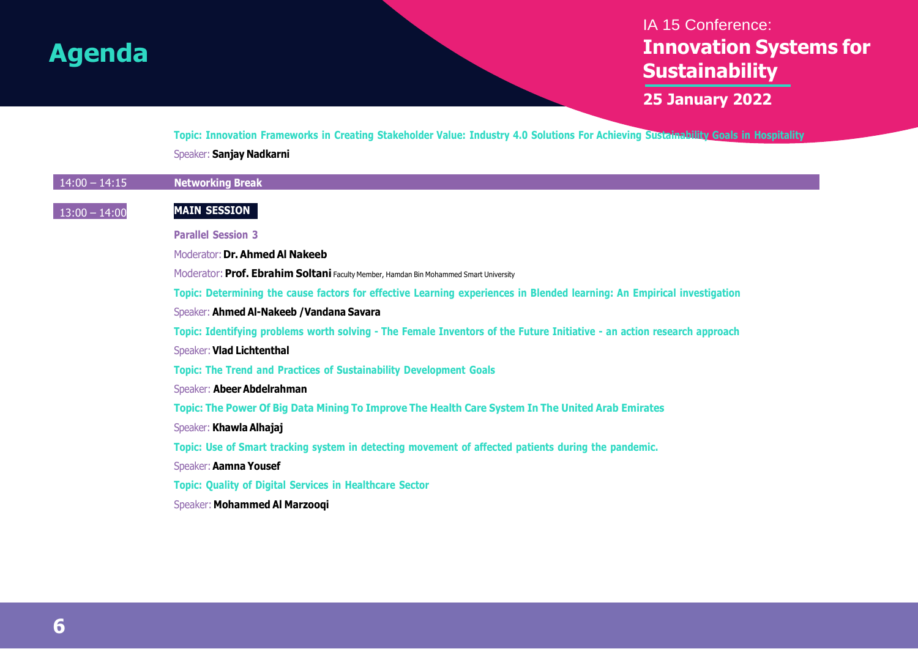### IA 15 Conference: **Innovation Systems for Sustainability**

**25 January 2022**

Topic: Innovation Frameworks in Creating Stakeholder Value: Industry 4.0 Solutions For Achieving Sustainability Goals in Hospitality Speaker: **Sanjay Nadkarni**

| $14:00 - 14:15$ | <b>Networking Break</b>                                                                                                 |
|-----------------|-------------------------------------------------------------------------------------------------------------------------|
| $13:00 - 14:00$ | <b>MAIN SESSION</b>                                                                                                     |
|                 | <b>Parallel Session 3</b>                                                                                               |
|                 | Moderator: Dr. Ahmed Al Nakeeb                                                                                          |
|                 | Moderator: Prof. Ebrahim Soltani Faculty Member, Hamdan Bin Mohammed Smart University                                   |
|                 | Topic: Determining the cause factors for effective Learning experiences in Blended learning: An Empirical investigation |
|                 | Speaker: Ahmed Al-Nakeeb / Vandana Savara                                                                               |
|                 | Topic: Identifying problems worth solving - The Female Inventors of the Future Initiative - an action research approach |
|                 | Speaker: Vlad Lichtenthal                                                                                               |
|                 | <b>Topic: The Trend and Practices of Sustainability Development Goals</b>                                               |
|                 | Speaker: Abeer Abdelrahman                                                                                              |
|                 | Topic: The Power Of Big Data Mining To Improve The Health Care System In The United Arab Emirates                       |
|                 | Speaker: Khawla Alhajaj                                                                                                 |
|                 | Topic: Use of Smart tracking system in detecting movement of affected patients during the pandemic.                     |
|                 | Speaker: Aamna Yousef                                                                                                   |
|                 | <b>Topic: Quality of Digital Services in Healthcare Sector</b>                                                          |
|                 | Speaker: Mohammed Al Marzooqi                                                                                           |
|                 |                                                                                                                         |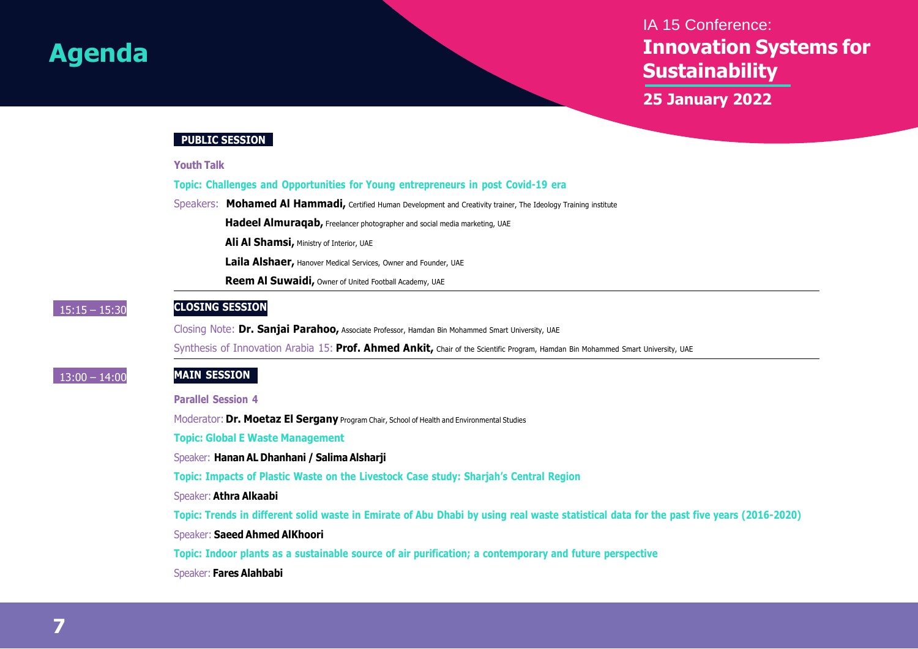### IA 15 Conference: **Innovation Systems for Sustainability**

**25 January 2022**

#### **PUBLIC SESSION**

|  | <b>Youth Talk</b> |  |
|--|-------------------|--|
|  |                   |  |

**Topic: Challenges and Opportunities for Young entrepreneurs in post Covid-19 era**

Speakers: **Mohamed Al Hammadi,** Certified Human Development and Creativity trainer, The Ideology Training institute

**Hadeel Almuraqab,** Freelancer photographer and social media marketing, UAE

**Ali Al Shamsi,** Ministry of Interior, UAE

**Laila Alshaer,** Hanover Medical Services, Owner and Founder, UAE

**Reem Al Suwaidi,** Owner of United Football Academy, UAE

#### 15:15 – 15:30 **CLOSING SESSION**

Closing Note: **Dr. Sanjai Parahoo,** Associate Professor, Hamdan Bin Mohammed Smart University, UAE

Synthesis of Innovation Arabia 15: **Prof. Ahmed Ankit,** Chair of the Scientific Program, Hamdan Bin Mohammed Smart University, UAE

#### 13:00 – 14:00 **MAIN SESSION**

**Parallel Session 4**

Moderator: **Dr. Moetaz El Sergany** Program Chair, School of Health and Environmental Studies

**Topic: Global E Waste Management**

#### Speaker: **Hanan AL Dhanhani / Salima Alsharji**

**Topic: Impacts of Plastic Waste on the Livestock Case study: Sharjah's Central Region**

#### Speaker: **Athra Alkaabi**

Topic: Trends in different solid waste in Emirate of Abu Dhabi by using real waste statistical data for the past five years (2016-2020)

#### Speaker: **Saeed Ahmed AlKhoori**

**Topic: Indoor plants as a sustainable source of air purification; a contemporary and future perspective**

#### Speaker: **Fares Alahbabi**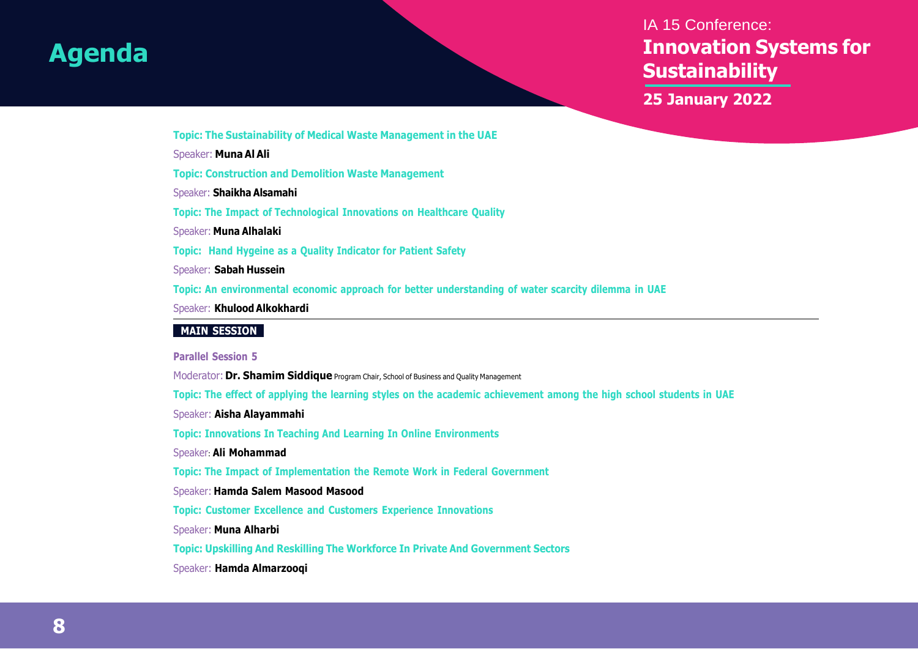### IA 15 Conference: **Innovation Systems for Sustainability**

**25 January 2022**

**Topic: The Sustainability of Medical Waste Management in the UAE**

Speaker: **Muna Al Ali**

**Topic: Construction and Demolition Waste Management**

Speaker: **Shaikha Alsamahi**

**Topic: The Impact of Technological Innovations on Healthcare Quality**

Speaker: **Muna Alhalaki**

**Topic: Hand Hygeine as a Quality Indicator for Patient Safety**

Speaker: **Sabah Hussein**

**Topic: An environmental economic approach for better understanding of water scarcity dilemma in UAE**

Speaker: **Khulood Alkokhardi**

#### **MAIN SESSION**

**Parallel Session 5**

Moderator: **Dr. Shamim Siddique** Program Chair, School of Business and Quality Management

Topic: The effect of applying the learning styles on the academic achievement among the high school students in UAE

Speaker: **Aisha Alayammahi**

**Topic: Innovations In Teaching And Learning In Online Environments**

Speaker: **Ali Mohammad**

**Topic: The Impact of Implementation the Remote Work in Federal Government**

Speaker: **Hamda Salem Masood Masood**

**Topic: Customer Excellence and Customers Experience Innovations**

Speaker: **Muna Alharbi**

**Topic: Upskilling And Reskilling The Workforce In Private And Government Sectors**

Speaker: **Hamda Almarzooqi**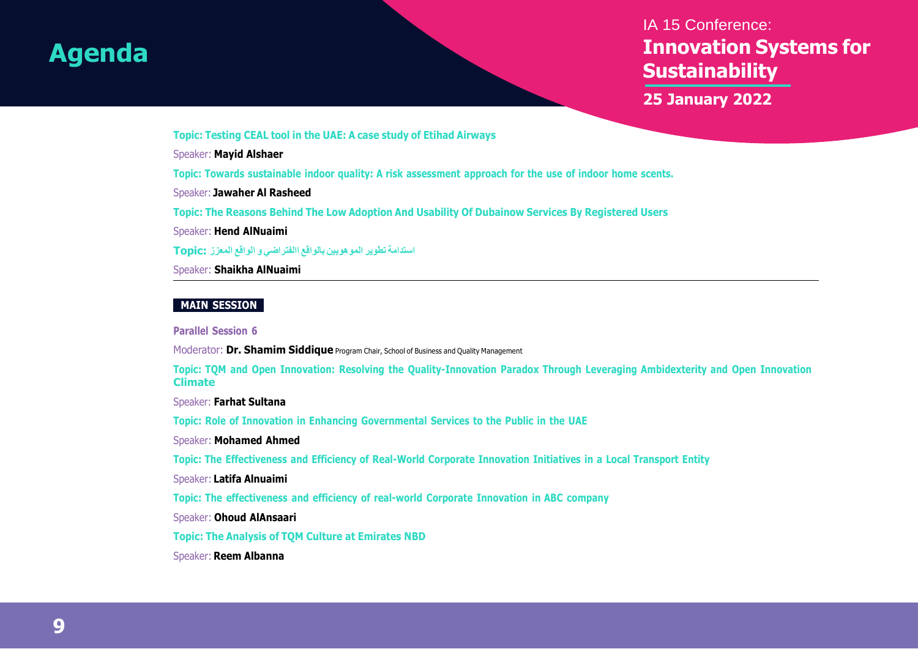### IA 15 Conference: **Innovation Systems for Sustainability**

**25 January 2022**

**Topic: Testing CEAL tool in the UAE: A case study of Etihad Airways**

Speaker: **Mayid Alshaer**

**Topic: Towards sustainable indoor quality: A risk assessment approach for the use of indoor home scents.**

Speaker: **Jawaher Al Rasheed**

**Topic: The Reasons Behind The Low Adoption And Usability Of Dubainow Services By Registered Users**

Speaker: **Hend AlNuaimi**

**استدامة تطوير الموهوبين بالواقع االفتراضي و الواقع المعزز :Topic**

Speaker: **Shaikha AlNuaimi**

#### **MAIN SESSION**

**Parallel Session 6**

Moderator: **Dr. Shamim Siddique** Program Chair, School of Business and Quality Management

Topic: TQM and Open Innovation: Resolving the Quality-Innovation Paradox Through Leveraging Ambidexterity and Open Innovation **Climate**

Speaker: **Farhat Sultana**

**Topic: Role of Innovation in Enhancing Governmental Services to the Public in the UAE**

Speaker: **Mohamed Ahmed**

**Topic: The Effectiveness and Efficiency of Real-World Corporate Innovation Initiatives in a Local Transport Entity**

Speaker: **Latifa Alnuaimi**

**Topic: The effectiveness and efficiency of real-world Corporate Innovation in ABC company**

Speaker: **Ohoud AlAnsaari**

**Topic: The Analysis of TQM Culture at Emirates NBD**

Speaker: **Reem Albanna**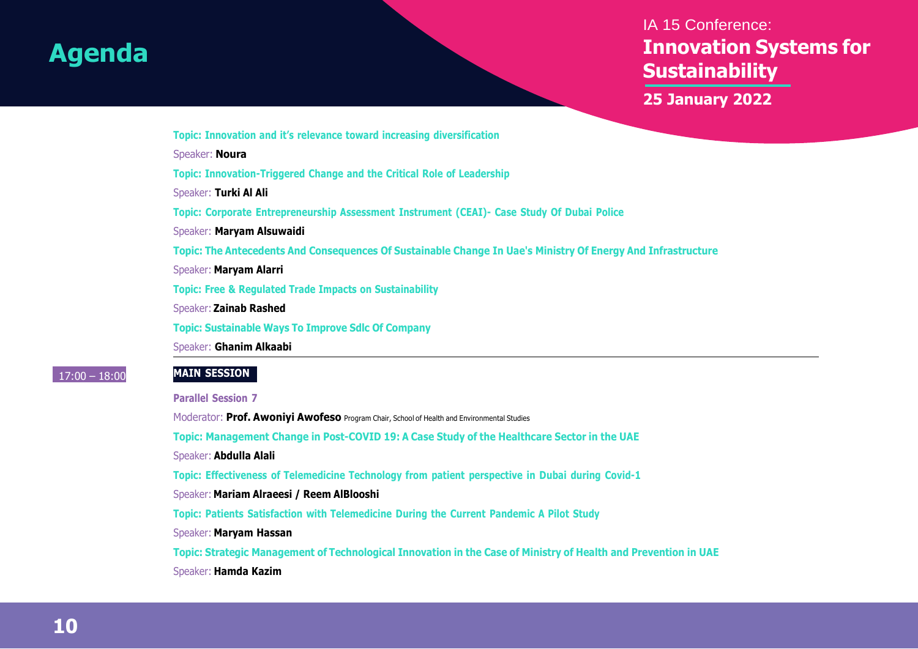### IA 15 Conference: **Innovation Systems for Sustainability**

**25 January 2022**

**Topic: Innovation and it's relevance toward increasing diversification**

Speaker: **Noura**

**Topic: Innovation-Triggered Change and the Critical Role of Leadership**

Speaker: **Turki Al Ali**

**Topic: Corporate Entrepreneurship Assessment Instrument (CEAI)- Case Study Of Dubai Police**

Speaker: **Maryam Alsuwaidi**

**Topic: The Antecedents And Consequences Of Sustainable Change In Uae's Ministry Of Energy And Infrastructure**

Speaker: **Maryam Alarri**

**Topic: Free & Regulated Trade Impacts on Sustainability**

Speaker: **Zainab Rashed**

**Topic: Sustainable Ways To Improve Sdlc Of Company**

Speaker: **Ghanim Alkaabi**

#### 17:00 – 18:00 **MAIN SESSION**

**Parallel Session 7**

Moderator: **Prof. Awoniyi Awofeso** Program Chair, School of Health and Environmental Studies

**Topic: Management Change in Post-COVID 19: A Case Study of the Healthcare Sector in the UAE**

Speaker: **Abdulla Alali**

**Topic: Effectiveness of Telemedicine Technology from patient perspective in Dubai during Covid-1**

Speaker: **Mariam Alraeesi / Reem AlBlooshi**

**Topic: Patients Satisfaction with Telemedicine During the Current Pandemic A Pilot Study**

Speaker: **Maryam Hassan**

Topic: Strategic Management of Technological Innovation in the Case of Ministry of Health and Prevention in UAE Speaker: **Hamda Kazim**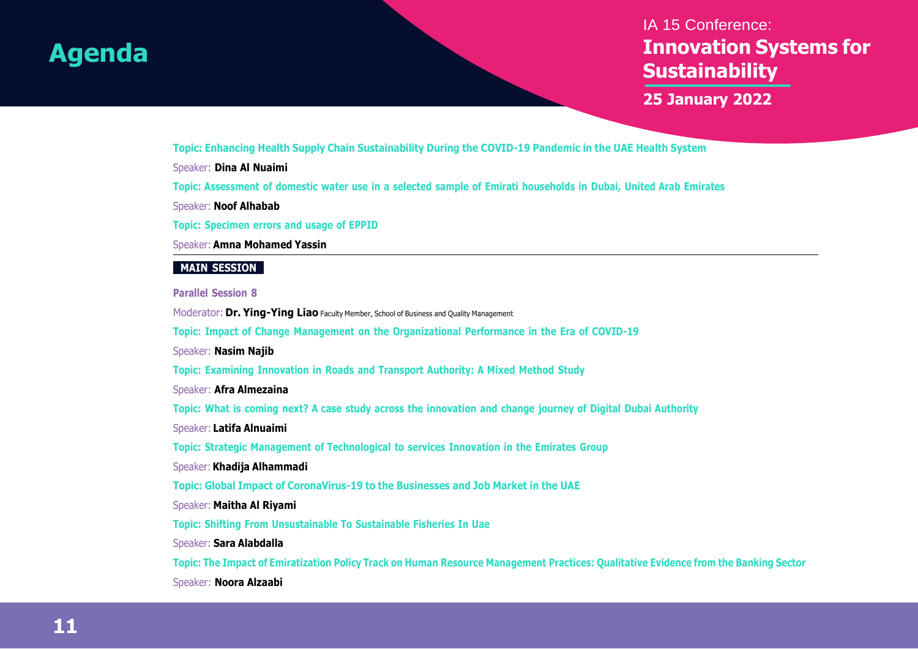### IA 15 Conference: **Innovation Systems for Sustainability**

**25 January 2022**

**Topic: Enhancing Health Supply Chain Sustainability During the COVID-19 Pandemic in the UAE Health System**

Speaker: **Dina Al Nuaimi**

Topic: Assessment of domestic water use in a selected sample of Emirati households in Dubai, United Arab Emirates

Speaker: **Noof Alhabab**

**Topic: Specimen errors and usage of EPPID**

Speaker: **Amna Mohamed Yassin**

#### **MAIN SESSION**

#### **Parallel Session 8**

Moderator: **Dr. Ying-Ying Liao** Faculty Member, School of Business and Quality Management

**Topic: Impact of Change Management on the Organizational Performance in the Era of COVID-19**

Speaker: **Nasim Najib**

**Topic: Examining Innovation in Roads and Transport Authority: A Mixed Method Study**

Speaker: **Afra Almezaina**

Topic: What is coming next? A case study across the innovation and change journey of Digital Dubai Authority

Speaker: **Latifa Alnuaimi**

**Topic: Strategic Management of Technological to services Innovation in the Emirates Group**

Speaker: **Khadija Alhammadi**

**Topic: Global Impact of CoronaVirus-19 to the Businesses and Job Market in the UAE**

Speaker: **Maitha Al Riyami**

**Topic: Shifting From Unsustainable To Sustainable Fisheries In Uae**

Speaker: **Sara Alabdalla**

Topic: The Impact of Emiratization Policy Track on Human Resource Management Practices: Qualitative Evidence from the Banking Sector

Speaker: **Noora Alzaabi**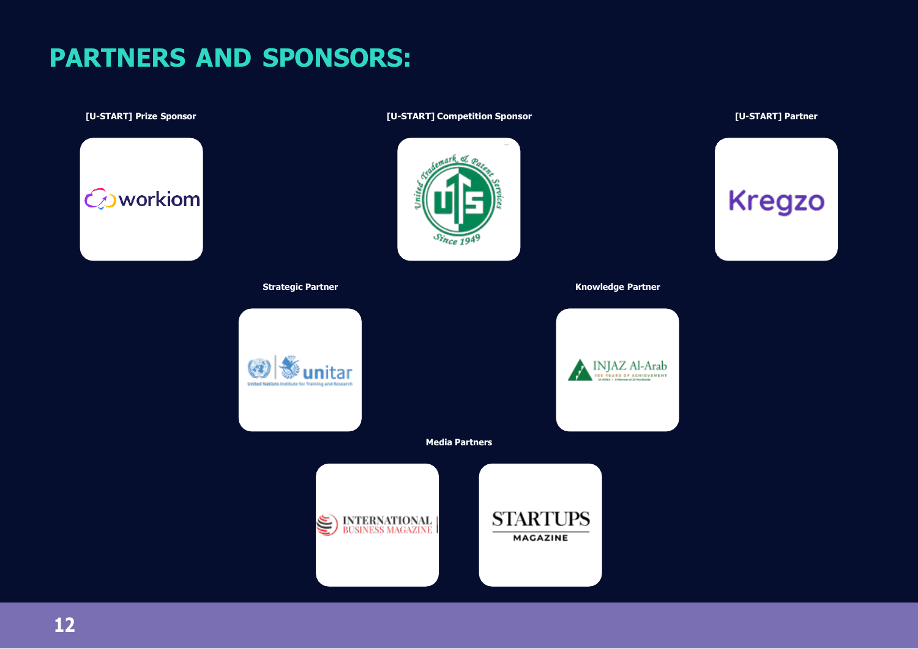# **PARTNERS AND SPONSORS:**

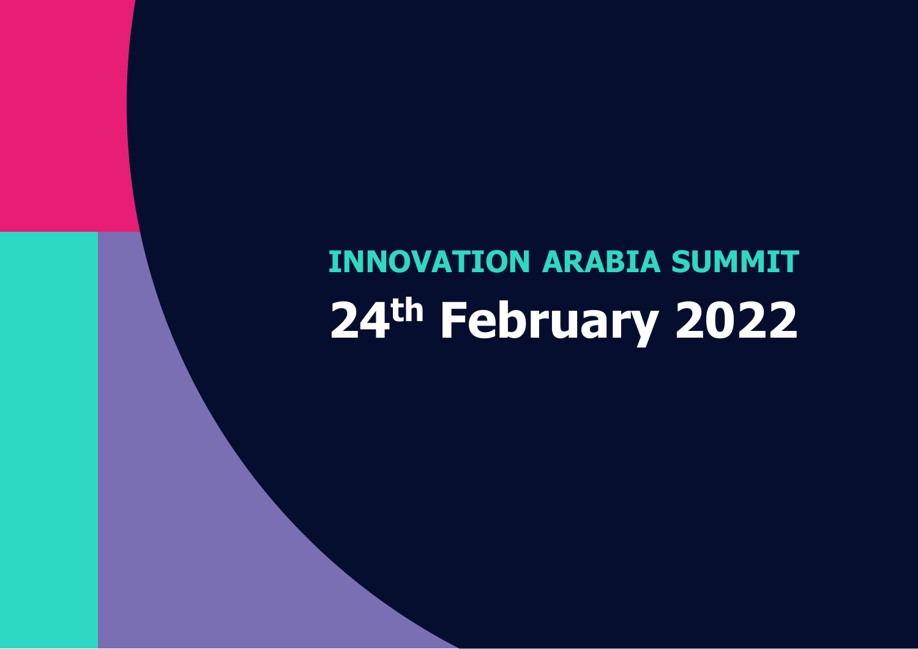# **INNOVATION ARABIA SUMMIT 24 th February 2022**